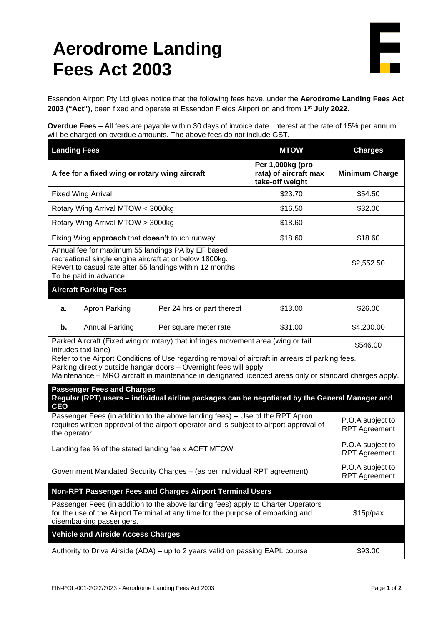## **Aerodrome Landing Fees Act 2003**

Essendon Airport Pty Ltd gives notice that the following fees have, under the **Aerodrome Landing Fees Act 2003 ("Act")**, been fixed and operate at Essendon Fields Airport on and from **1 st July 2022.**

**Overdue Fees** – All fees are payable within 30 days of invoice date. Interest at the rate of 15% per annum will be charged on overdue amounts. The above fees do not include GST.

| <b>Landing Fees</b>                                                                                                                                                                                                                                                              |                              |                                                              | <b>MTOW</b>                              | <b>Charges</b>                           |  |
|----------------------------------------------------------------------------------------------------------------------------------------------------------------------------------------------------------------------------------------------------------------------------------|------------------------------|--------------------------------------------------------------|------------------------------------------|------------------------------------------|--|
| A fee for a fixed wing or rotary wing aircraft                                                                                                                                                                                                                                   |                              | Per 1,000kg (pro<br>rata) of aircraft max<br>take-off weight | <b>Minimum Charge</b>                    |                                          |  |
| <b>Fixed Wing Arrival</b>                                                                                                                                                                                                                                                        |                              | \$23.70                                                      | \$54.50                                  |                                          |  |
| Rotary Wing Arrival MTOW < 3000kg                                                                                                                                                                                                                                                |                              | \$16.50                                                      | \$32.00                                  |                                          |  |
| Rotary Wing Arrival MTOW > 3000kg                                                                                                                                                                                                                                                |                              | \$18.60                                                      |                                          |                                          |  |
| Fixing Wing approach that doesn't touch runway                                                                                                                                                                                                                                   |                              | \$18.60                                                      | \$18.60                                  |                                          |  |
| Annual fee for maximum 55 landings PA by EF based<br>recreational single engine aircraft at or below 1800kg.<br>Revert to casual rate after 55 landings within 12 months.<br>To be paid in advance                                                                               |                              |                                                              |                                          | \$2,552.50                               |  |
|                                                                                                                                                                                                                                                                                  | <b>Aircraft Parking Fees</b> |                                                              |                                          |                                          |  |
| а.                                                                                                                                                                                                                                                                               | Apron Parking                | Per 24 hrs or part thereof                                   | \$13.00                                  | \$26.00                                  |  |
| b.                                                                                                                                                                                                                                                                               | <b>Annual Parking</b>        | Per square meter rate                                        | \$31.00                                  | \$4,200.00                               |  |
| Parked Aircraft (Fixed wing or rotary) that infringes movement area (wing or tail<br>intrudes taxi lane)                                                                                                                                                                         | \$546.00                     |                                                              |                                          |                                          |  |
| Refer to the Airport Conditions of Use regarding removal of aircraft in arrears of parking fees.<br>Parking directly outside hangar doors - Overnight fees will apply.<br>Maintenance - MRO aircraft in maintenance in designated licenced areas only or standard charges apply. |                              |                                                              |                                          |                                          |  |
| <b>Passenger Fees and Charges</b><br>Regular (RPT) users - individual airline packages can be negotiated by the General Manager and<br><b>CEO</b>                                                                                                                                |                              |                                                              |                                          |                                          |  |
| Passenger Fees (in addition to the above landing fees) - Use of the RPT Apron<br>requires written approval of the airport operator and is subject to airport approval of<br>the operator.                                                                                        |                              |                                                              | P.O.A subject to<br><b>RPT Agreement</b> |                                          |  |
| Landing fee % of the stated landing fee x ACFT MTOW                                                                                                                                                                                                                              |                              |                                                              | P.O.A subject to<br><b>RPT Agreement</b> |                                          |  |
| Government Mandated Security Charges - (as per individual RPT agreement)                                                                                                                                                                                                         |                              |                                                              |                                          | P.O.A subject to<br><b>RPT Agreement</b> |  |
| <b>Non-RPT Passenger Fees and Charges Airport Terminal Users</b>                                                                                                                                                                                                                 |                              |                                                              |                                          |                                          |  |
| Passenger Fees (in addition to the above landing fees) apply to Charter Operators<br>for the use of the Airport Terminal at any time for the purpose of embarking and<br>disembarking passengers.                                                                                |                              |                                                              | \$15p/px                                 |                                          |  |
| <b>Vehicle and Airside Access Charges</b>                                                                                                                                                                                                                                        |                              |                                                              |                                          |                                          |  |
| Authority to Drive Airside (ADA) – up to 2 years valid on passing EAPL course                                                                                                                                                                                                    |                              |                                                              |                                          | \$93.00                                  |  |